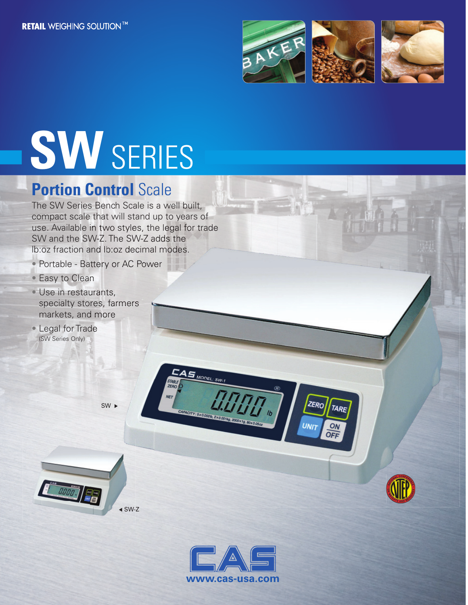

ZERO

UNn

TARE

ON OFF

# **SW** SERIES

### **Portion Control Scale**

The SW Series Bench Scale is a well built, compact scale that will stand up to years of use. Available in two styles, the legal for trade<br>SW and the SW-Z. The SW-Z adds the SW and the SW-Z. The SW-Z adds the lb:oz fraction and lb:oz decimal modes.

- Portable Battery or AC Power<br>• Easy to Clean<br>• Use in restaurants,
- Easy to Clean
- Use in restaurants, specialty stores, farmers markets, and more markets, and r<br>Legal for Trade •
- (SW Series Only)

SW<sub>1</sub>





 $S$ <sub>MODEL:</sub> SW.